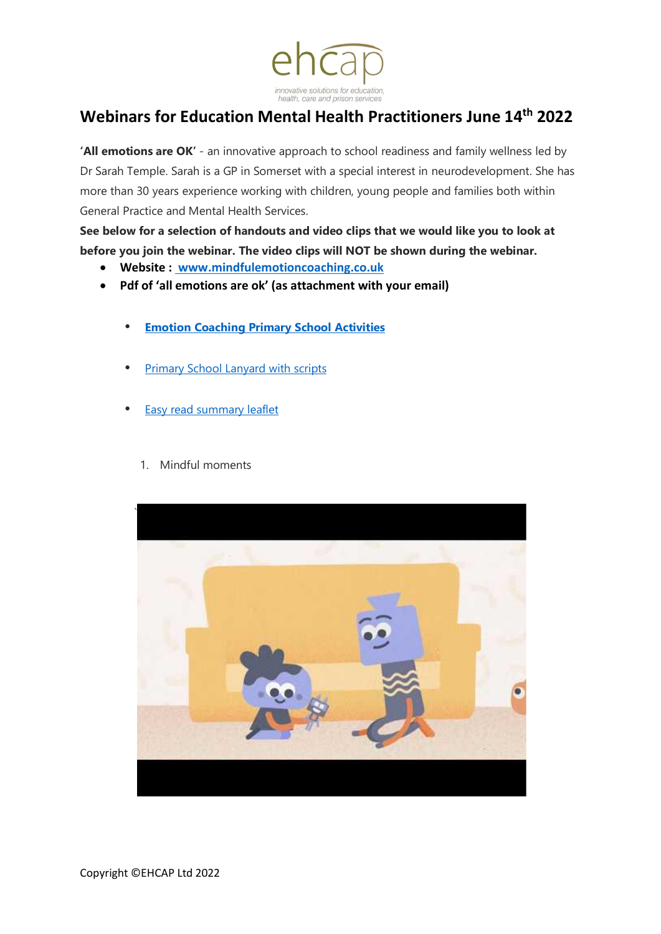

## **Webinars for Education Mental Health Practitioners June 14th 2022**

**'All emotions are OK'** - an innovative approach to school readiness and family wellness led by Dr Sarah Temple. Sarah is a GP in Somerset with a special interest in neurodevelopment. She has more than 30 years experience working with children, young people and families both within General Practice and Mental Health Services.

**See below for a selection of handouts and video clips that we would like you to look at before you join the webinar. The video clips will NOT be shown during the webinar.**

- **Website : www.mindfulemotioncoaching.co.uk**
- **Pdf of 'all emotions are ok' (as attachment with your email)**
	- **Emotion [Coaching](https://www.canva.com/design/DAE9M1txDaE/8QIhDZLJqo-4D4i06aDLjw/view?utm_content=DAE9M1txDaE&utm_campaign=designshare&utm_medium=link2&utm_source=sharebutton) Primary School Activities**
	- **[Primary School Lanyard](https://www.ehcap.co.uk/content/sites/ehcap/uploads/NewsDocuments/356/lanyard-primary-setting.PDF) with scripts**
	- [Easy read summary](https://www.ehcap.co.uk/content/sites/ehcap/uploads/NewsDocuments/340/F4L-Mindful-Emotion-Coaching-presentation-Aug-2019.PDF) leaflet
		- 1. Mindful moments

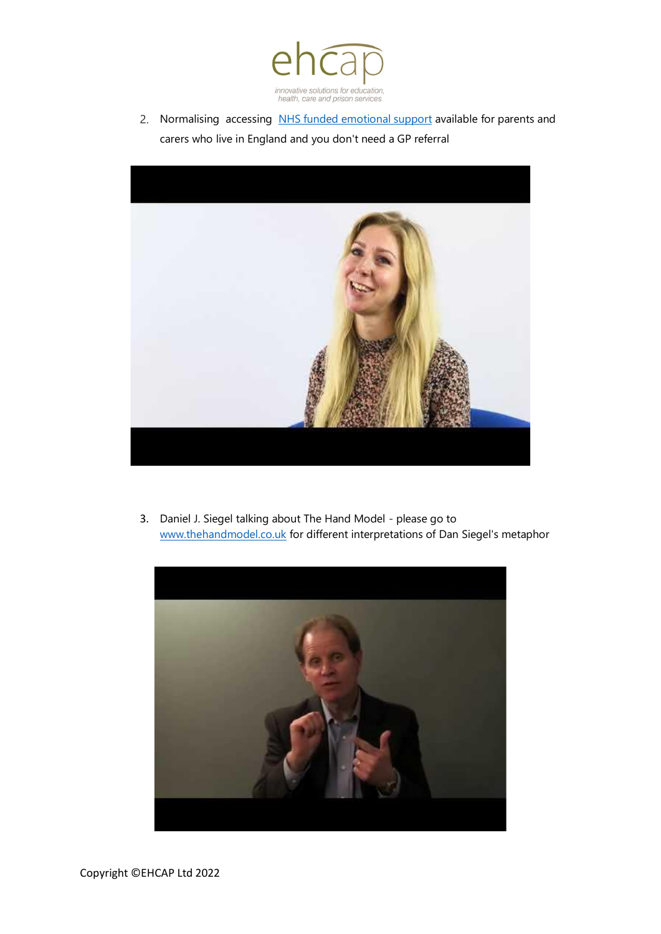

2. Normalising accessing [NHS funded emotional support](https://www.nhs.uk/service-search/find-a-psychological-therapies-service/) available for parents and carers who live in England and you don't need a GP referral



3. Daniel J. Siegel talking about The Hand Model - please go to <www.thehandmodel.co.uk> for different interpretations of Dan Siegel's metaphor

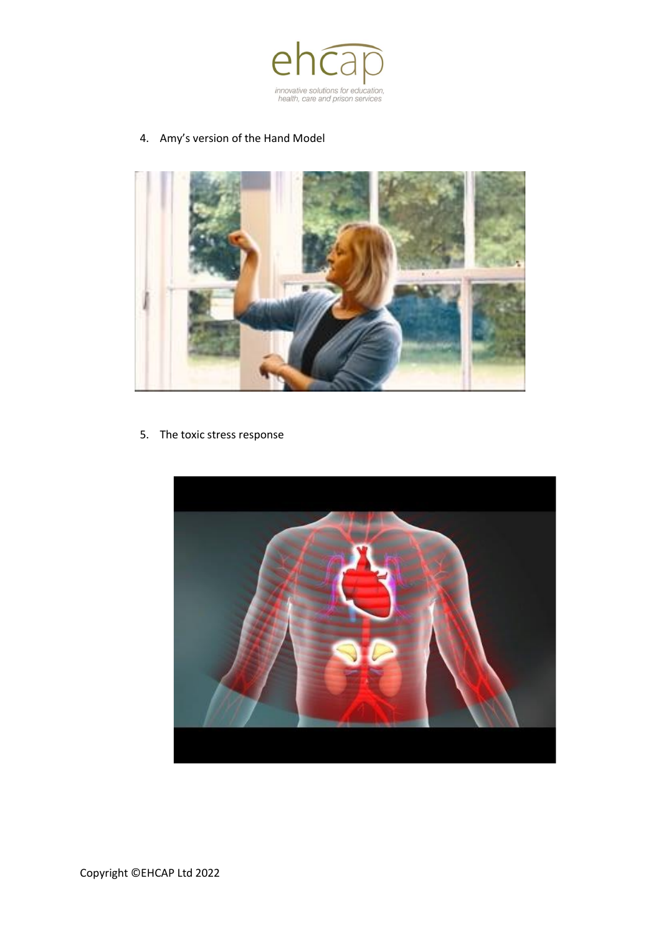

#### 4. Amy's version of the Hand Model



5. The toxic stress response

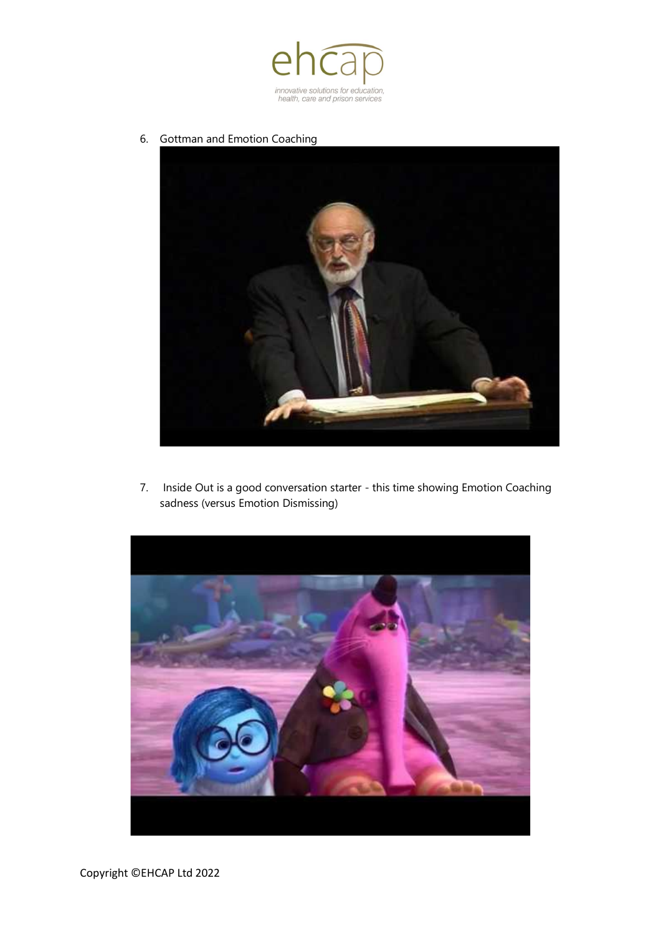

6. Gottman and Emotion Coaching



7. Inside Out is a good conversation starter - this time showing Emotion Coaching sadness (versus Emotion Dismissing)

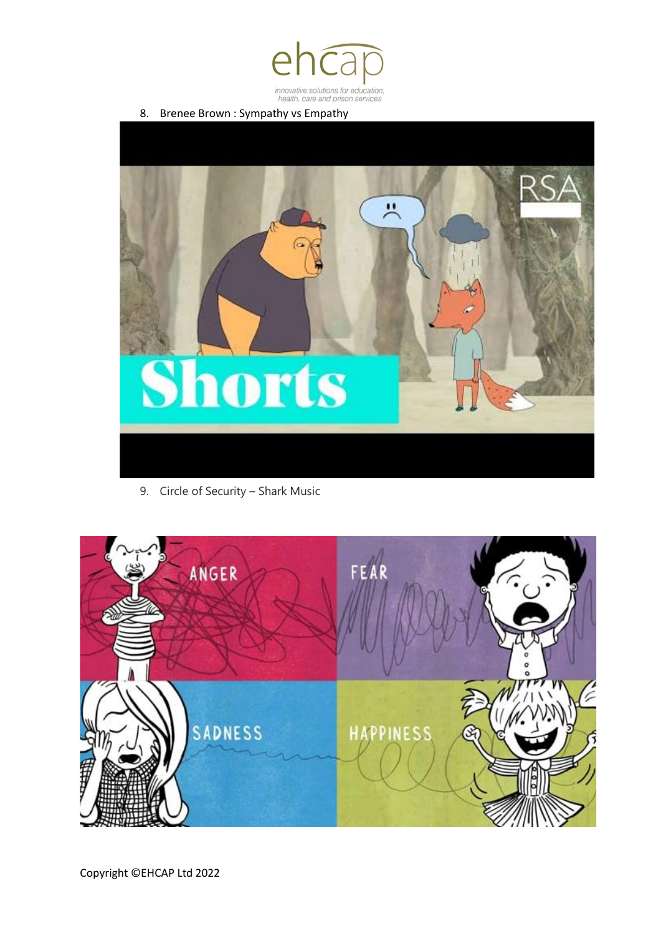

8. Brenee Brown : Sympathy vs Empathy



9. Circle of Security – Shark Music